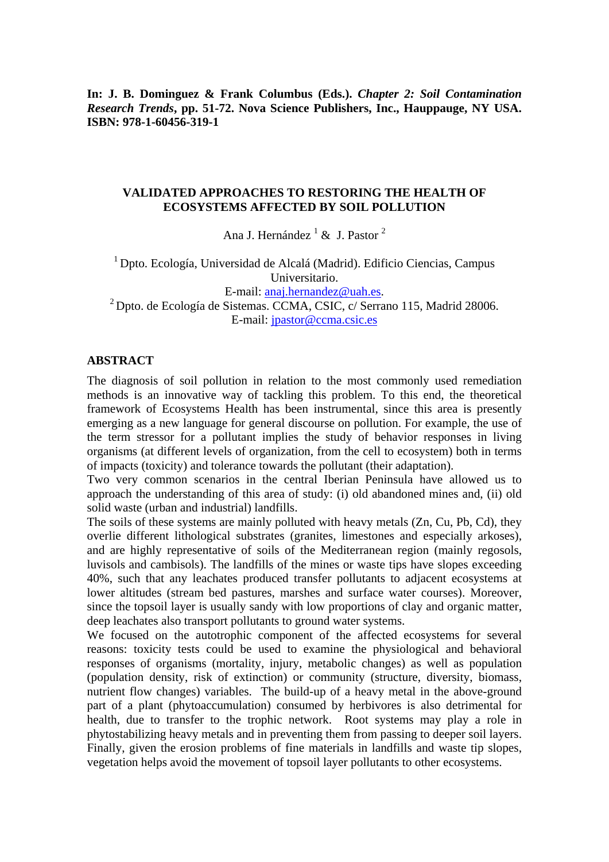**In: J. B. Dominguez & Frank Columbus (Eds.).** *Chapter 2: Soil Contamination Research Trends***, pp. 51-72. Nova Science Publishers, Inc., Hauppauge, NY USA. ISBN: 978-1-60456-319-1** 

#### **VALIDATED APPROACHES TO RESTORING THE HEALTH OF ECOSYSTEMS AFFECTED BY SOIL POLLUTION**

Ana J. Hernández<sup>1</sup> & J. Pastor<sup>2</sup>

1 Dpto. Ecología, Universidad de Alcalá (Madrid). Edificio Ciencias, Campus Universitario. E-mail: <u>anaj.hernandez@uah.es</u>.<br><sup>2</sup> Dpto. de Ecología de Sistemas. CCMA, CSIC, c/ Serrano 115, Madrid 28006. E-mail: jpastor@ccma.csic.es

### **ABSTRACT**

The diagnosis of soil pollution in relation to the most commonly used remediation methods is an innovative way of tackling this problem. To this end, the theoretical framework of Ecosystems Health has been instrumental, since this area is presently emerging as a new language for general discourse on pollution. For example, the use of the term stressor for a pollutant implies the study of behavior responses in living organisms (at different levels of organization, from the cell to ecosystem) both in terms of impacts (toxicity) and tolerance towards the pollutant (their adaptation).

Two very common scenarios in the central Iberian Peninsula have allowed us to approach the understanding of this area of study: (i) old abandoned mines and, (ii) old solid waste (urban and industrial) landfills.

The soils of these systems are mainly polluted with heavy metals (Zn, Cu, Pb, Cd), they overlie different lithological substrates (granites, limestones and especially arkoses), and are highly representative of soils of the Mediterranean region (mainly regosols, luvisols and cambisols). The landfills of the mines or waste tips have slopes exceeding 40%, such that any leachates produced transfer pollutants to adjacent ecosystems at lower altitudes (stream bed pastures, marshes and surface water courses). Moreover, since the topsoil layer is usually sandy with low proportions of clay and organic matter, deep leachates also transport pollutants to ground water systems.

We focused on the autotrophic component of the affected ecosystems for several reasons: toxicity tests could be used to examine the physiological and behavioral responses of organisms (mortality, injury, metabolic changes) as well as population (population density, risk of extinction) or community (structure, diversity, biomass, nutrient flow changes) variables. The build-up of a heavy metal in the above-ground part of a plant (phytoaccumulation) consumed by herbivores is also detrimental for health, due to transfer to the trophic network. Root systems may play a role in phytostabilizing heavy metals and in preventing them from passing to deeper soil layers. Finally, given the erosion problems of fine materials in landfills and waste tip slopes, vegetation helps avoid the movement of topsoil layer pollutants to other ecosystems.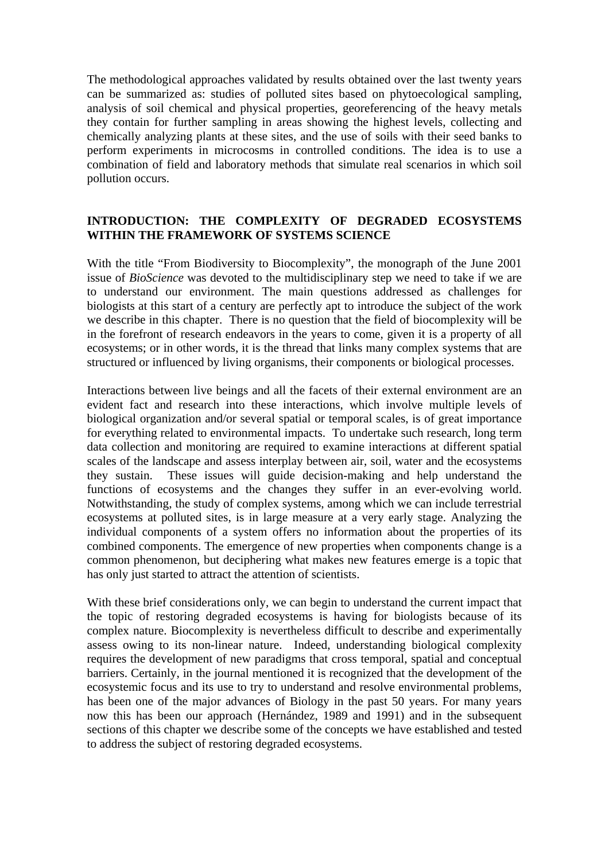The methodological approaches validated by results obtained over the last twenty years can be summarized as: studies of polluted sites based on phytoecological sampling, analysis of soil chemical and physical properties, georeferencing of the heavy metals they contain for further sampling in areas showing the highest levels, collecting and chemically analyzing plants at these sites, and the use of soils with their seed banks to perform experiments in microcosms in controlled conditions. The idea is to use a combination of field and laboratory methods that simulate real scenarios in which soil pollution occurs.

## **INTRODUCTION: THE COMPLEXITY OF DEGRADED ECOSYSTEMS WITHIN THE FRAMEWORK OF SYSTEMS SCIENCE**

With the title "From Biodiversity to Biocomplexity", the monograph of the June 2001 issue of *BioScience* was devoted to the multidisciplinary step we need to take if we are to understand our environment. The main questions addressed as challenges for biologists at this start of a century are perfectly apt to introduce the subject of the work we describe in this chapter. There is no question that the field of biocomplexity will be in the forefront of research endeavors in the years to come, given it is a property of all ecosystems; or in other words, it is the thread that links many complex systems that are structured or influenced by living organisms, their components or biological processes.

Interactions between live beings and all the facets of their external environment are an evident fact and research into these interactions, which involve multiple levels of biological organization and/or several spatial or temporal scales, is of great importance for everything related to environmental impacts. To undertake such research, long term data collection and monitoring are required to examine interactions at different spatial scales of the landscape and assess interplay between air, soil, water and the ecosystems they sustain. These issues will guide decision-making and help understand the functions of ecosystems and the changes they suffer in an ever-evolving world. Notwithstanding, the study of complex systems, among which we can include terrestrial ecosystems at polluted sites, is in large measure at a very early stage. Analyzing the individual components of a system offers no information about the properties of its combined components. The emergence of new properties when components change is a common phenomenon, but deciphering what makes new features emerge is a topic that has only just started to attract the attention of scientists.

With these brief considerations only, we can begin to understand the current impact that the topic of restoring degraded ecosystems is having for biologists because of its complex nature. Biocomplexity is nevertheless difficult to describe and experimentally assess owing to its non-linear nature. Indeed, understanding biological complexity requires the development of new paradigms that cross temporal, spatial and conceptual barriers. Certainly, in the journal mentioned it is recognized that the development of the ecosystemic focus and its use to try to understand and resolve environmental problems, has been one of the major advances of Biology in the past 50 years. For many years now this has been our approach (Hernández, 1989 and 1991) and in the subsequent sections of this chapter we describe some of the concepts we have established and tested to address the subject of restoring degraded ecosystems.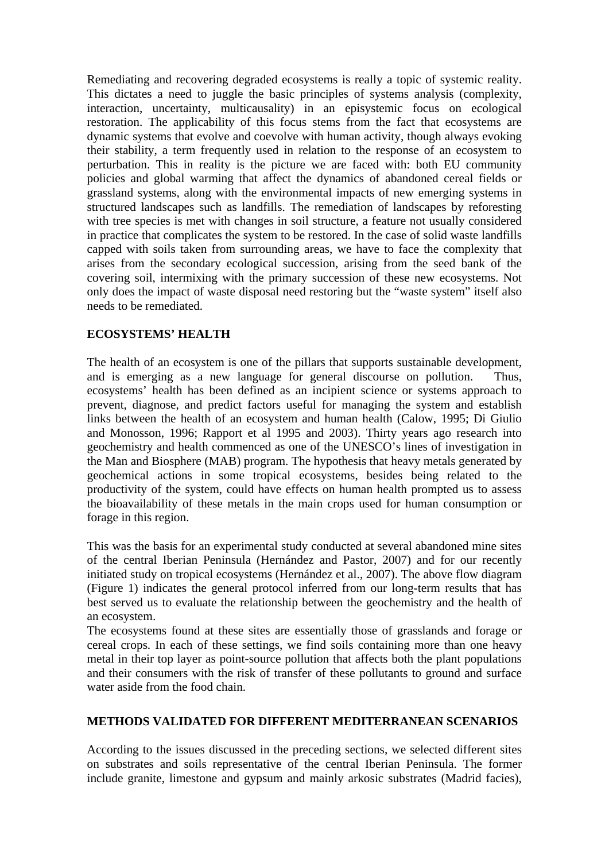Remediating and recovering degraded ecosystems is really a topic of systemic reality. This dictates a need to juggle the basic principles of systems analysis (complexity, interaction, uncertainty, multicausality) in an episystemic focus on ecological restoration. The applicability of this focus stems from the fact that ecosystems are dynamic systems that evolve and coevolve with human activity, though always evoking their stability, a term frequently used in relation to the response of an ecosystem to perturbation. This in reality is the picture we are faced with: both EU community policies and global warming that affect the dynamics of abandoned cereal fields or grassland systems, along with the environmental impacts of new emerging systems in structured landscapes such as landfills. The remediation of landscapes by reforesting with tree species is met with changes in soil structure, a feature not usually considered in practice that complicates the system to be restored. In the case of solid waste landfills capped with soils taken from surrounding areas, we have to face the complexity that arises from the secondary ecological succession, arising from the seed bank of the covering soil, intermixing with the primary succession of these new ecosystems. Not only does the impact of waste disposal need restoring but the "waste system" itself also needs to be remediated.

# **ECOSYSTEMS' HEALTH**

The health of an ecosystem is one of the pillars that supports sustainable development, and is emerging as a new language for general discourse on pollution. Thus, ecosystems' health has been defined as an incipient science or systems approach to prevent, diagnose, and predict factors useful for managing the system and establish links between the health of an ecosystem and human health (Calow, 1995; Di Giulio and Monosson, 1996; Rapport et al 1995 and 2003). Thirty years ago research into geochemistry and health commenced as one of the UNESCO's lines of investigation in the Man and Biosphere (MAB) program. The hypothesis that heavy metals generated by geochemical actions in some tropical ecosystems, besides being related to the productivity of the system, could have effects on human health prompted us to assess the bioavailability of these metals in the main crops used for human consumption or forage in this region.

This was the basis for an experimental study conducted at several abandoned mine sites of the central Iberian Peninsula (Hernández and Pastor, 2007) and for our recently initiated study on tropical ecosystems (Hernández et al., 2007). The above flow diagram (Figure 1) indicates the general protocol inferred from our long-term results that has best served us to evaluate the relationship between the geochemistry and the health of an ecosystem.

The ecosystems found at these sites are essentially those of grasslands and forage or cereal crops. In each of these settings, we find soils containing more than one heavy metal in their top layer as point-source pollution that affects both the plant populations and their consumers with the risk of transfer of these pollutants to ground and surface water aside from the food chain.

## **METHODS VALIDATED FOR DIFFERENT MEDITERRANEAN SCENARIOS**

According to the issues discussed in the preceding sections, we selected different sites on substrates and soils representative of the central Iberian Peninsula. The former include granite, limestone and gypsum and mainly arkosic substrates (Madrid facies),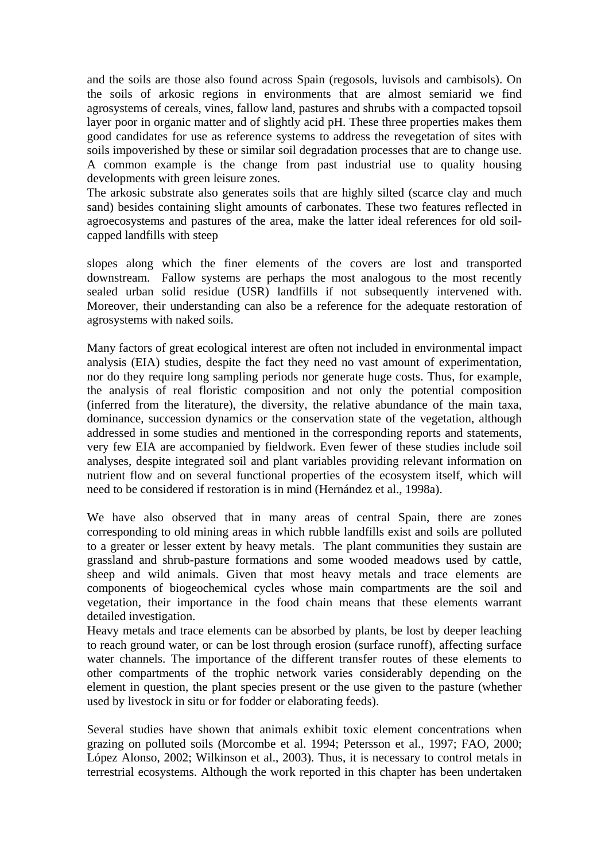and the soils are those also found across Spain (regosols, luvisols and cambisols). On the soils of arkosic regions in environments that are almost semiarid we find agrosystems of cereals, vines, fallow land, pastures and shrubs with a compacted topsoil layer poor in organic matter and of slightly acid pH. These three properties makes them good candidates for use as reference systems to address the revegetation of sites with soils impoverished by these or similar soil degradation processes that are to change use. A common example is the change from past industrial use to quality housing developments with green leisure zones.

The arkosic substrate also generates soils that are highly silted (scarce clay and much sand) besides containing slight amounts of carbonates. These two features reflected in agroecosystems and pastures of the area, make the latter ideal references for old soilcapped landfills with steep

slopes along which the finer elements of the covers are lost and transported downstream. Fallow systems are perhaps the most analogous to the most recently sealed urban solid residue (USR) landfills if not subsequently intervened with. Moreover, their understanding can also be a reference for the adequate restoration of agrosystems with naked soils.

Many factors of great ecological interest are often not included in environmental impact analysis (EIA) studies, despite the fact they need no vast amount of experimentation, nor do they require long sampling periods nor generate huge costs. Thus, for example, the analysis of real floristic composition and not only the potential composition (inferred from the literature), the diversity, the relative abundance of the main taxa, dominance, succession dynamics or the conservation state of the vegetation, although addressed in some studies and mentioned in the corresponding reports and statements, very few EIA are accompanied by fieldwork. Even fewer of these studies include soil analyses, despite integrated soil and plant variables providing relevant information on nutrient flow and on several functional properties of the ecosystem itself, which will need to be considered if restoration is in mind (Hernández et al., 1998a).

We have also observed that in many areas of central Spain, there are zones corresponding to old mining areas in which rubble landfills exist and soils are polluted to a greater or lesser extent by heavy metals. The plant communities they sustain are grassland and shrub-pasture formations and some wooded meadows used by cattle, sheep and wild animals. Given that most heavy metals and trace elements are components of biogeochemical cycles whose main compartments are the soil and vegetation, their importance in the food chain means that these elements warrant detailed investigation.

Heavy metals and trace elements can be absorbed by plants, be lost by deeper leaching to reach ground water, or can be lost through erosion (surface runoff), affecting surface water channels. The importance of the different transfer routes of these elements to other compartments of the trophic network varies considerably depending on the element in question, the plant species present or the use given to the pasture (whether used by livestock in situ or for fodder or elaborating feeds).

Several studies have shown that animals exhibit toxic element concentrations when grazing on polluted soils (Morcombe et al. 1994; Petersson et al., 1997; FAO, 2000; López Alonso, 2002; Wilkinson et al., 2003). Thus, it is necessary to control metals in terrestrial ecosystems. Although the work reported in this chapter has been undertaken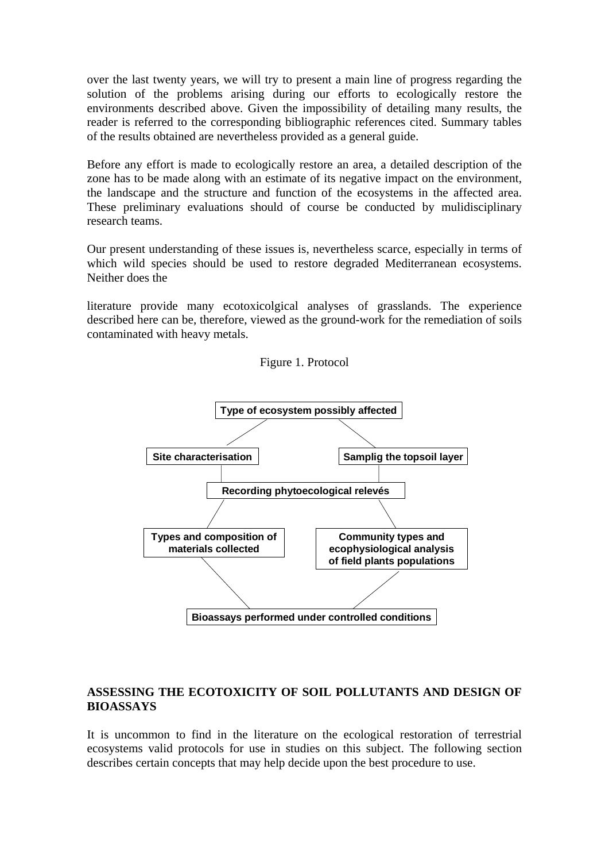over the last twenty years, we will try to present a main line of progress regarding the solution of the problems arising during our efforts to ecologically restore the environments described above. Given the impossibility of detailing many results, the reader is referred to the corresponding bibliographic references cited. Summary tables of the results obtained are nevertheless provided as a general guide.

Before any effort is made to ecologically restore an area, a detailed description of the zone has to be made along with an estimate of its negative impact on the environment, the landscape and the structure and function of the ecosystems in the affected area. These preliminary evaluations should of course be conducted by mulidisciplinary research teams.

Our present understanding of these issues is, nevertheless scarce, especially in terms of which wild species should be used to restore degraded Mediterranean ecosystems. Neither does the

literature provide many ecotoxicolgical analyses of grasslands. The experience described here can be, therefore, viewed as the ground-work for the remediation of soils contaminated with heavy metals.



#### Figure 1. Protocol

### **ASSESSING THE ECOTOXICITY OF SOIL POLLUTANTS AND DESIGN OF BIOASSAYS**

It is uncommon to find in the literature on the ecological restoration of terrestrial ecosystems valid protocols for use in studies on this subject. The following section describes certain concepts that may help decide upon the best procedure to use.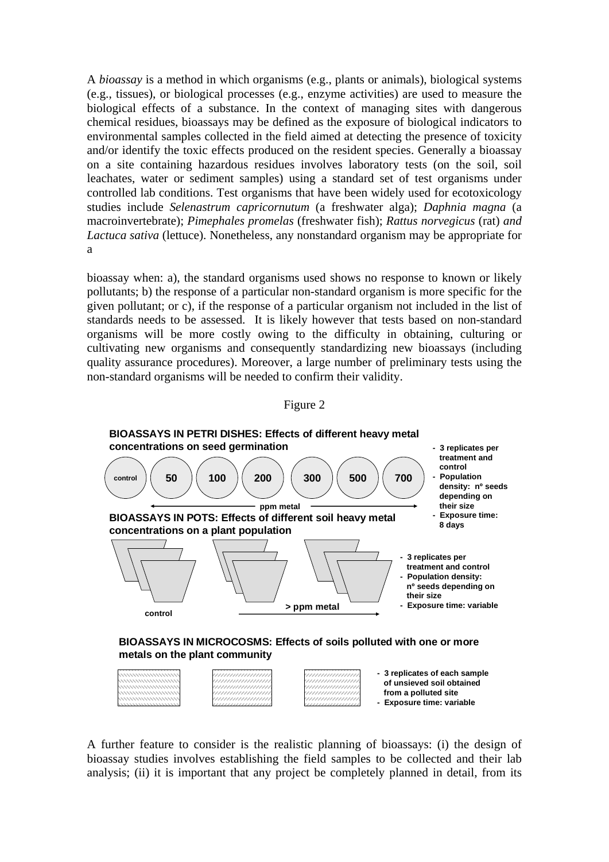A *bioassay* is a method in which organisms (e.g., plants or animals), biological systems (e.g., tissues), or biological processes (e.g., enzyme activities) are used to measure the biological effects of a substance. In the context of managing sites with dangerous chemical residues, bioassays may be defined as the exposure of biological indicators to environmental samples collected in the field aimed at detecting the presence of toxicity and/or identify the toxic effects produced on the resident species. Generally a bioassay on a site containing hazardous residues involves laboratory tests (on the soil, soil leachates, water or sediment samples) using a standard set of test organisms under controlled lab conditions. Test organisms that have been widely used for ecotoxicology studies include *Selenastrum capricornutum* (a freshwater alga); *Daphnia magna* (a macroinvertebrate); *Pimephales promelas* (freshwater fish); *Rattus norvegicus* (rat) *and Lactuca sativa* (lettuce). Nonetheless, any nonstandard organism may be appropriate for a

bioassay when: a), the standard organisms used shows no response to known or likely pollutants; b) the response of a particular non-standard organism is more specific for the given pollutant; or c), if the response of a particular organism not included in the list of standards needs to be assessed. It is likely however that tests based on non-standard organisms will be more costly owing to the difficulty in obtaining, culturing or cultivating new organisms and consequently standardizing new bioassays (including quality assurance procedures). Moreover, a large number of preliminary tests using the non-standard organisms will be needed to confirm their validity.





A further feature to consider is the realistic planning of bioassays: (i) the design of bioassay studies involves establishing the field samples to be collected and their lab analysis; (ii) it is important that any project be completely planned in detail, from its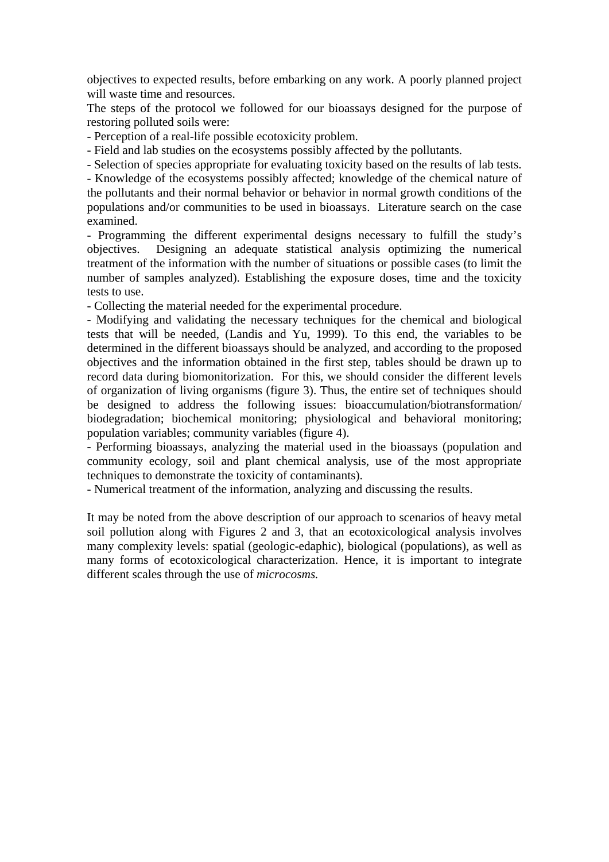objectives to expected results, before embarking on any work. A poorly planned project will waste time and resources.

The steps of the protocol we followed for our bioassays designed for the purpose of restoring polluted soils were:

- Perception of a real-life possible ecotoxicity problem.

- Field and lab studies on the ecosystems possibly affected by the pollutants.

- Selection of species appropriate for evaluating toxicity based on the results of lab tests.

- Knowledge of the ecosystems possibly affected; knowledge of the chemical nature of the pollutants and their normal behavior or behavior in normal growth conditions of the populations and/or communities to be used in bioassays. Literature search on the case examined.

- Programming the different experimental designs necessary to fulfill the study's objectives. Designing an adequate statistical analysis optimizing the numerical treatment of the information with the number of situations or possible cases (to limit the number of samples analyzed). Establishing the exposure doses, time and the toxicity tests to use.

- Collecting the material needed for the experimental procedure.

- Modifying and validating the necessary techniques for the chemical and biological tests that will be needed, (Landis and Yu, 1999). To this end, the variables to be determined in the different bioassays should be analyzed, and according to the proposed objectives and the information obtained in the first step, tables should be drawn up to record data during biomonitorization. For this, we should consider the different levels of organization of living organisms (figure 3). Thus, the entire set of techniques should be designed to address the following issues: bioaccumulation/biotransformation/ biodegradation; biochemical monitoring; physiological and behavioral monitoring; population variables; community variables (figure 4).

- Performing bioassays, analyzing the material used in the bioassays (population and community ecology, soil and plant chemical analysis, use of the most appropriate techniques to demonstrate the toxicity of contaminants).

- Numerical treatment of the information, analyzing and discussing the results.

It may be noted from the above description of our approach to scenarios of heavy metal soil pollution along with Figures 2 and 3, that an ecotoxicological analysis involves many complexity levels: spatial (geologic-edaphic), biological (populations), as well as many forms of ecotoxicological characterization. Hence, it is important to integrate different scales through the use of *microcosms.*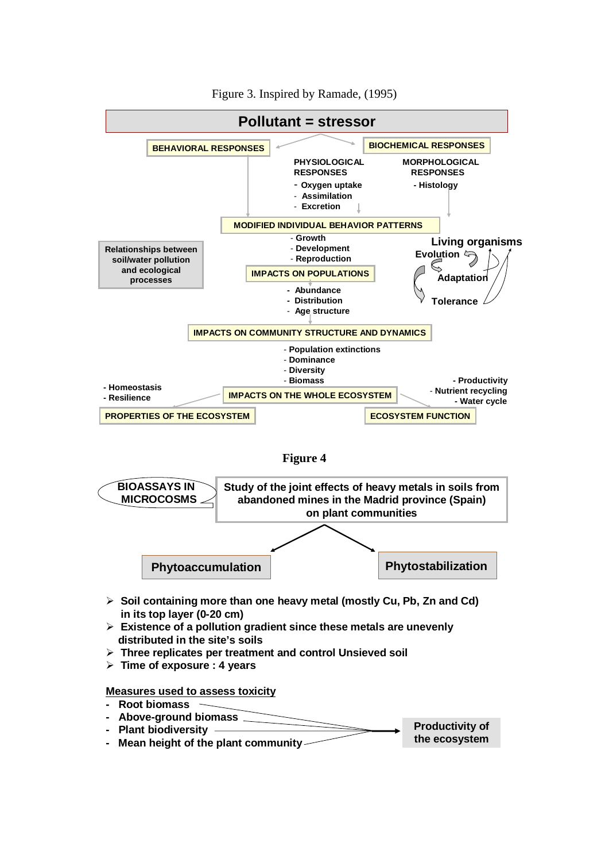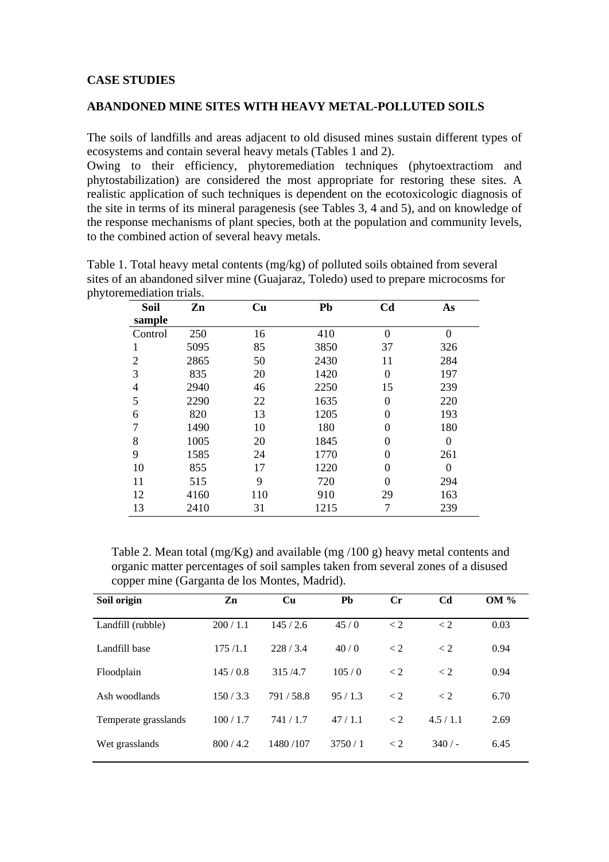### **CASE STUDIES**

#### **ABANDONED MINE SITES WITH HEAVY METAL-POLLUTED SOILS**

The soils of landfills and areas adjacent to old disused mines sustain different types of ecosystems and contain several heavy metals (Tables 1 and 2).

Owing to their efficiency, phytoremediation techniques (phytoextractiom and phytostabilization) are considered the most appropriate for restoring these sites. A realistic application of such techniques is dependent on the ecotoxicologic diagnosis of the site in terms of its mineral paragenesis (see Tables 3, 4 and 5), and on knowledge of the response mechanisms of plant species, both at the population and community levels, to the combined action of several heavy metals.

| <b>Soil</b><br>sample | Zn   | Cu  | Pb   | C <sub>d</sub> | As               |
|-----------------------|------|-----|------|----------------|------------------|
| Control               | 250  | 16  | 410  | $\Omega$       | $\Omega$         |
| 1                     | 5095 | 85  | 3850 | 37             | 326              |
| $\overline{2}$        | 2865 | 50  | 2430 | 11             | 284              |
| 3                     | 835  | 20  | 1420 | $\theta$       | 197              |
| 4                     | 2940 | 46  | 2250 | 15             | 239              |
| 5                     | 2290 | 22  | 1635 | 0              | 220              |
| 6                     | 820  | 13  | 1205 | 0              | 193              |
| 7                     | 1490 | 10  | 180  | 0              | 180              |
| 8                     | 1005 | 20  | 1845 | 0              | $\boldsymbol{0}$ |
| 9                     | 1585 | 24  | 1770 | $\theta$       | 261              |
| 10                    | 855  | 17  | 1220 | 0              | $\theta$         |
| 11                    | 515  | 9   | 720  | 0              | 294              |
| 12                    | 4160 | 110 | 910  | 29             | 163              |
| 13                    | 2410 | 31  | 1215 |                | 239              |

Table 1. Total heavy metal contents (mg/kg) of polluted soils obtained from several sites of an abandoned silver mine (Guajaraz, Toledo) used to prepare microcosms for phytoremediation trials.

 Table 2. Mean total (mg/Kg) and available (mg /100 g) heavy metal contents and organic matter percentages of soil samples taken from several zones of a disused copper mine (Garganta de los Montes, Madrid).

| Soil origin          | Zn      | Cu       | <b>Pb</b> | $C_{r}$ | C <sub>d</sub> | <b>OM</b> % |
|----------------------|---------|----------|-----------|---------|----------------|-------------|
| Landfill (rubble)    | 200/1.1 | 145/2.6  | 45/0      | < 2     | < 2            | 0.03        |
| Landfill base        | 175/1.1 | 228/3.4  | 40/0      | $\lt 2$ | $\lt 2$        | 0.94        |
| Floodplain           | 145/0.8 | 315/4.7  | 105/0     | $\lt 2$ | < 2            | 0.94        |
| Ash woodlands        | 150/3.3 | 791/58.8 | 95/1.3    | < 2     | < 2            | 6.70        |
| Temperate grasslands | 100/1.7 | 741/1.7  | 47/1.1    | $\lt 2$ | 4.5/1.1        | 2.69        |
| Wet grasslands       | 800/4.2 | 1480/107 | 3750/1    | $\lt 2$ | 340/           | 6.45        |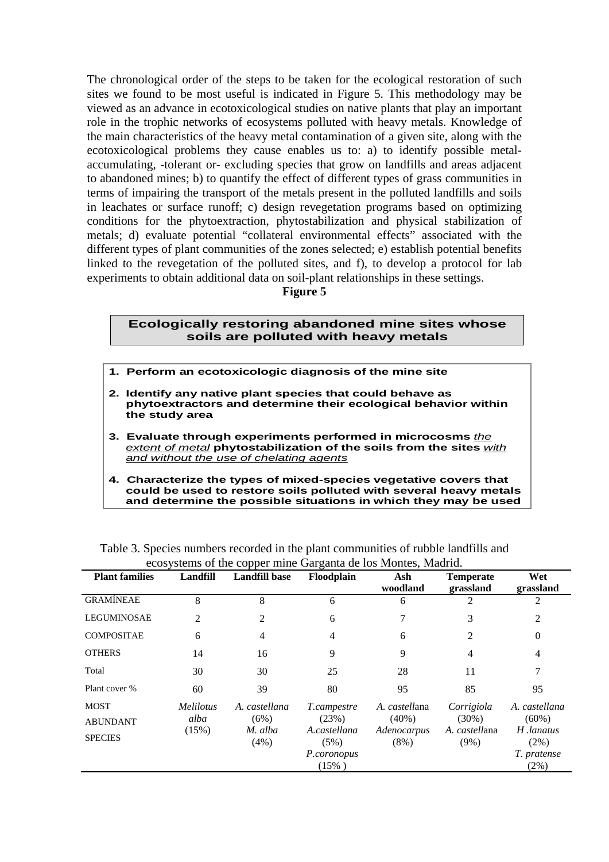The chronological order of the steps to be taken for the ecological restoration of such sites we found to be most useful is indicated in Figure 5. This methodology may be viewed as an advance in ecotoxicological studies on native plants that play an important role in the trophic networks of ecosystems polluted with heavy metals. Knowledge of the main characteristics of the heavy metal contamination of a given site, along with the ecotoxicological problems they cause enables us to: a) to identify possible metalaccumulating, -tolerant or- excluding species that grow on landfills and areas adjacent to abandoned mines; b) to quantify the effect of different types of grass communities in terms of impairing the transport of the metals present in the polluted landfills and soils in leachates or surface runoff; c) design revegetation programs based on optimizing conditions for the phytoextraction, phytostabilization and physical stabilization of metals; d) evaluate potential "collateral environmental effects" associated with the different types of plant communities of the zones selected; e) establish potential benefits linked to the revegetation of the polluted sites, and f), to develop a protocol for lab experiments to obtain additional data on soil-plant relationships in these settings.

**Figure 5**

#### **Ecologically restoring abandoned mine sites whose soils are polluted with heavy metals**

- **1. Perform an ecotoxicologic diagnosis of the mine site**
- **2. Identify any native plant species that could behave as phytoextractors and determine their ecological behavior within the study area**
- **3. Evaluate through experiments performed in microcosms** *the extent of metal* **phytostabilization of the soils from the sites** *with and without the use of chelating agents*
- **4. Characterize the types of mixed-species vegetative covers that could be used to restore soils polluted with several heavy metals and determine the possible situations in which they may be used**

|                       | ecosystems of the copper mine Garganta de los Montes, Madrid. |                      |                      |                        |                               |                      |  |  |  |
|-----------------------|---------------------------------------------------------------|----------------------|----------------------|------------------------|-------------------------------|----------------------|--|--|--|
| <b>Plant families</b> | Landfill                                                      | <b>Landfill base</b> | Floodplain           | Ash<br>woodland        | <b>Temperate</b><br>grassland | Wet<br>grassland     |  |  |  |
| <b>GRAMÍNEAE</b>      | 8                                                             | 8                    | 6                    | 6                      | 2                             | 2                    |  |  |  |
| <b>LEGUMINOSAE</b>    | 2                                                             |                      | 6                    |                        | 3                             | 2                    |  |  |  |
| <b>COMPOSITAE</b>     | 6                                                             | 4                    | 4                    | 6                      | 2                             | $\Omega$             |  |  |  |
| <b>OTHERS</b>         | 14                                                            | 16                   | 9                    | 9                      | 4                             | 4                    |  |  |  |
| Total                 | 30                                                            | 30                   | 25                   | 28                     | 11                            |                      |  |  |  |
| Plant cover %         | 60                                                            | 39                   | 80                   | 95                     | 85                            | 95                   |  |  |  |
| <b>MOST</b>           | <i>Melilotus</i>                                              | A. castellana        | <i>T.campestre</i>   | A. castellana          | Corrigiola                    | A. castellana        |  |  |  |
| <b>ABUNDANT</b>       | alba                                                          | (6%)                 | (23%)                | $(40\%)$               | $(30\%)$                      | $(60\%)$             |  |  |  |
| <b>SPECIES</b>        | (15%)                                                         | M. alba<br>(4%)      | A.castellana<br>(5%) | Adenocarpus<br>$(8\%)$ | A. castellana<br>$(9\%)$      | H.lanatus<br>$(2\%)$ |  |  |  |
|                       |                                                               |                      | P.coronopus          |                        |                               | T. pratense          |  |  |  |
|                       |                                                               |                      | $(15\%)$             |                        |                               | (2%)                 |  |  |  |

Table 3. Species numbers recorded in the plant communities of rubble landfills and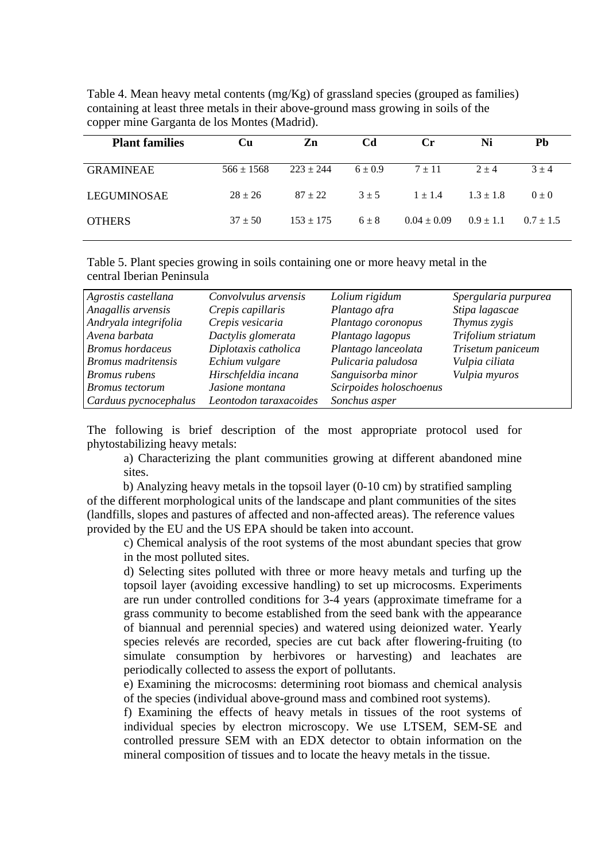| <b>Plant families</b> | Cu             | Zn            | Cd          | $C_{r}$         | Ni            | Pb            |
|-----------------------|----------------|---------------|-------------|-----------------|---------------|---------------|
| <b>GRAMINEAE</b>      | $566 \pm 1568$ | $223 + 244$   | $6 \pm 0.9$ | $7 \pm 11$      | $2 + 4$       | $3 + 4$       |
| LEGUMINOSAE           | $28 \pm 26$    | $87 + 22$     | $3 + 5$     | $1 \pm 1.4$     | $1.3 \pm 1.8$ | $0 \pm 0$     |
| <b>OTHERS</b>         | $37 + 50$      | $153 \pm 175$ | $6 \pm 8$   | $0.04 \pm 0.09$ | $0.9 \pm 1.1$ | $0.7 \pm 1.5$ |

Table 4. Mean heavy metal contents (mg/Kg) of grassland species (grouped as families) containing at least three metals in their above-ground mass growing in soils of the copper mine Garganta de los Montes (Madrid).

Table 5. Plant species growing in soils containing one or more heavy metal in the central Iberian Peninsula

| Agrostis castellana       | Convolvulus arvensis   | Lolium rigidum          | Spergularia purpurea |
|---------------------------|------------------------|-------------------------|----------------------|
| Anagallis arvensis        | Crepis capillaris      | Plantago afra           | Stipa lagascae       |
| Andryala integrifolia     | Crepis vesicaria       | Plantago coronopus      | Thymus zygis         |
| Avena barbata             | Dactylis glomerata     | Plantago lagopus        | Trifolium striatum   |
| <b>Bromus</b> hordaceus   | Diplotaxis catholica   | Plantago lanceolata     | Trisetum paniceum    |
| <b>Bromus</b> madritensis | Echium vulgare         | Pulicaria paludosa      | Vulpia ciliata       |
| Bromus rubens             | Hirschfeldia incana    | Sanguisorba minor       | Vulpia myuros        |
| <b>Bromus</b> tectorum    | Jasione montana        | Scirpoides holoschoenus |                      |
| Carduus pycnocephalus     | Leontodon taraxacoides | Sonchus asper           |                      |

The following is brief description of the most appropriate protocol used for phytostabilizing heavy metals:

a) Characterizing the plant communities growing at different abandoned mine sites.

 b) Analyzing heavy metals in the topsoil layer (0-10 cm) by stratified sampling of the different morphological units of the landscape and plant communities of the sites (landfills, slopes and pastures of affected and non-affected areas). The reference values provided by the EU and the US EPA should be taken into account.

c) Chemical analysis of the root systems of the most abundant species that grow in the most polluted sites.

d) Selecting sites polluted with three or more heavy metals and turfing up the topsoil layer (avoiding excessive handling) to set up microcosms. Experiments are run under controlled conditions for 3-4 years (approximate timeframe for a grass community to become established from the seed bank with the appearance of biannual and perennial species) and watered using deionized water. Yearly species relevés are recorded, species are cut back after flowering-fruiting (to simulate consumption by herbivores or harvesting) and leachates are periodically collected to assess the export of pollutants.

 e) Examining the microcosms: determining root biomass and chemical analysis of the species (individual above-ground mass and combined root systems).

 f) Examining the effects of heavy metals in tissues of the root systems of individual species by electron microscopy. We use LTSEM, SEM-SE and controlled pressure SEM with an EDX detector to obtain information on the mineral composition of tissues and to locate the heavy metals in the tissue.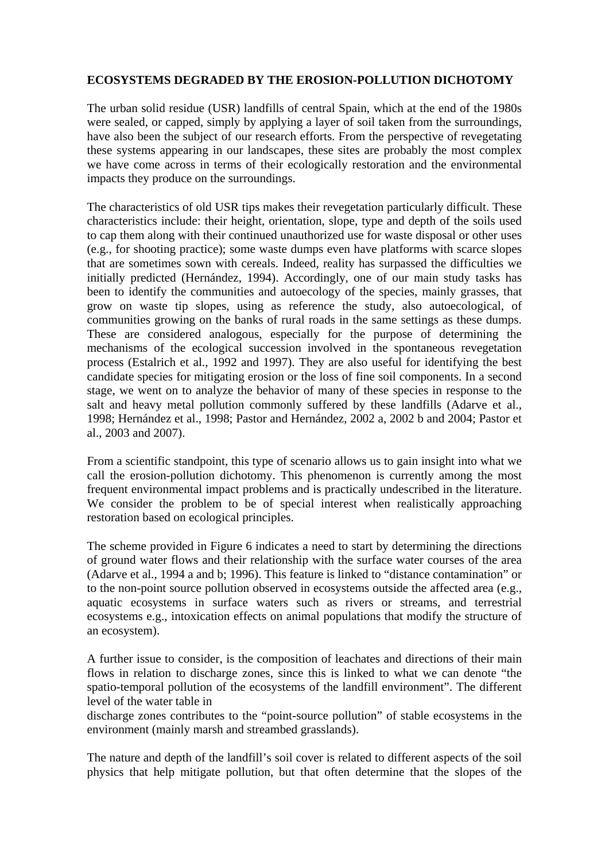## **ECOSYSTEMS DEGRADED BY THE EROSION-POLLUTION DICHOTOMY**

The urban solid residue (USR) landfills of central Spain, which at the end of the 1980s were sealed, or capped, simply by applying a layer of soil taken from the surroundings, have also been the subject of our research efforts. From the perspective of revegetating these systems appearing in our landscapes, these sites are probably the most complex we have come across in terms of their ecologically restoration and the environmental impacts they produce on the surroundings.

The characteristics of old USR tips makes their revegetation particularly difficult. These characteristics include: their height, orientation, slope, type and depth of the soils used to cap them along with their continued unauthorized use for waste disposal or other uses (e.g., for shooting practice); some waste dumps even have platforms with scarce slopes that are sometimes sown with cereals. Indeed, reality has surpassed the difficulties we initially predicted (Hernández, 1994). Accordingly, one of our main study tasks has been to identify the communities and autoecology of the species, mainly grasses, that grow on waste tip slopes, using as reference the study, also autoecological, of communities growing on the banks of rural roads in the same settings as these dumps. These are considered analogous, especially for the purpose of determining the mechanisms of the ecological succession involved in the spontaneous revegetation process (Estalrich et al., 1992 and 1997). They are also useful for identifying the best candidate species for mitigating erosion or the loss of fine soil components. In a second stage, we went on to analyze the behavior of many of these species in response to the salt and heavy metal pollution commonly suffered by these landfills (Adarve et al., 1998; Hernández et al., 1998; Pastor and Hernández, 2002 a, 2002 b and 2004; Pastor et al., 2003 and 2007).

From a scientific standpoint, this type of scenario allows us to gain insight into what we call the erosion-pollution dichotomy. This phenomenon is currently among the most frequent environmental impact problems and is practically undescribed in the literature. We consider the problem to be of special interest when realistically approaching restoration based on ecological principles.

The scheme provided in Figure 6 indicates a need to start by determining the directions of ground water flows and their relationship with the surface water courses of the area (Adarve et al., 1994 a and b; 1996). This feature is linked to "distance contamination" or to the non-point source pollution observed in ecosystems outside the affected area (e.g., aquatic ecosystems in surface waters such as rivers or streams, and terrestrial ecosystems e.g., intoxication effects on animal populations that modify the structure of an ecosystem).

A further issue to consider, is the composition of leachates and directions of their main flows in relation to discharge zones, since this is linked to what we can denote "the spatio-temporal pollution of the ecosystems of the landfill environment". The different level of the water table in

discharge zones contributes to the "point-source pollution" of stable ecosystems in the environment (mainly marsh and streambed grasslands).

The nature and depth of the landfill's soil cover is related to different aspects of the soil physics that help mitigate pollution, but that often determine that the slopes of the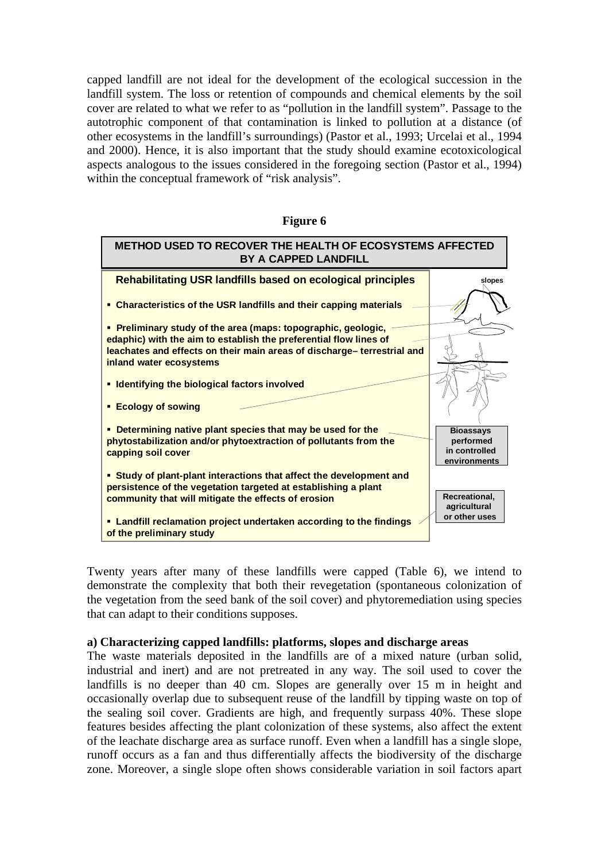capped landfill are not ideal for the development of the ecological succession in the landfill system. The loss or retention of compounds and chemical elements by the soil cover are related to what we refer to as "pollution in the landfill system". Passage to the autotrophic component of that contamination is linked to pollution at a distance (of other ecosystems in the landfill's surroundings) (Pastor et al., 1993; Urcelai et al., 1994 and 2000). Hence, it is also important that the study should examine ecotoxicological aspects analogous to the issues considered in the foregoing section (Pastor et al., 1994) within the conceptual framework of "risk analysis".

| рш |
|----|
|----|



Twenty years after many of these landfills were capped (Table 6), we intend to demonstrate the complexity that both their revegetation (spontaneous colonization of the vegetation from the seed bank of the soil cover) and phytoremediation using species that can adapt to their conditions supposes.

### **a) Characterizing capped landfills: platforms, slopes and discharge areas**

The waste materials deposited in the landfills are of a mixed nature (urban solid, industrial and inert) and are not pretreated in any way. The soil used to cover the landfills is no deeper than 40 cm. Slopes are generally over 15 m in height and occasionally overlap due to subsequent reuse of the landfill by tipping waste on top of the sealing soil cover. Gradients are high, and frequently surpass 40%. These slope features besides affecting the plant colonization of these systems, also affect the extent of the leachate discharge area as surface runoff. Even when a landfill has a single slope, runoff occurs as a fan and thus differentially affects the biodiversity of the discharge zone. Moreover, a single slope often shows considerable variation in soil factors apart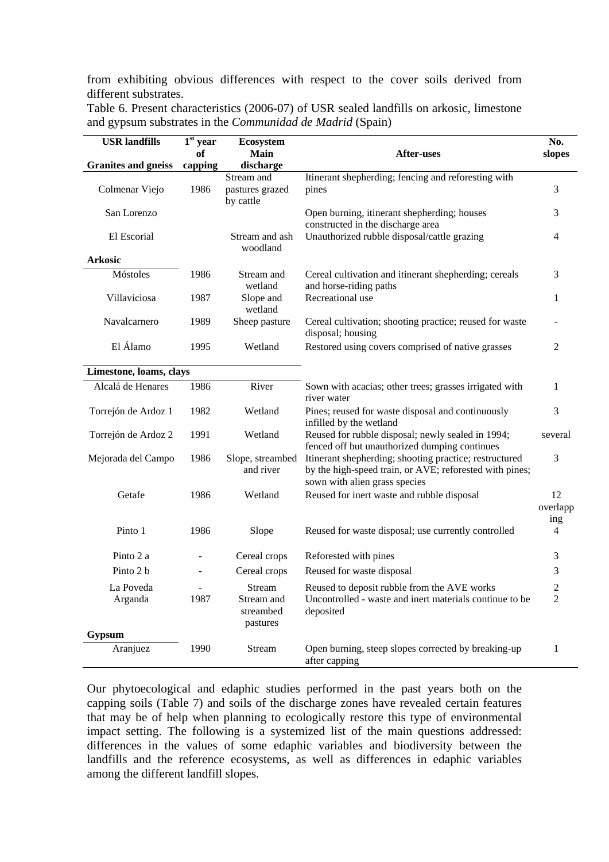from exhibiting obvious differences with respect to the cover soils derived from different substrates.

| <b>USR</b> landfills<br>$\overline{1}^{\rm st}$ year<br>Ecosystem |         |                                     |                                                                                                                                                    |                |  |  |  |
|-------------------------------------------------------------------|---------|-------------------------------------|----------------------------------------------------------------------------------------------------------------------------------------------------|----------------|--|--|--|
|                                                                   | of      | Main                                | After-uses                                                                                                                                         | slopes         |  |  |  |
| <b>Granites and gneiss</b>                                        | capping | discharge                           |                                                                                                                                                    |                |  |  |  |
|                                                                   |         | Stream and                          | Itinerant shepherding; fencing and reforesting with                                                                                                |                |  |  |  |
| Colmenar Viejo                                                    | 1986    | pastures grazed<br>by cattle        | pines                                                                                                                                              | 3              |  |  |  |
| San Lorenzo                                                       |         |                                     | Open burning, itinerant shepherding; houses                                                                                                        | 3              |  |  |  |
| El Escorial                                                       |         | Stream and ash<br>woodland          | constructed in the discharge area<br>Unauthorized rubble disposal/cattle grazing                                                                   | $\overline{4}$ |  |  |  |
| <b>Arkosic</b>                                                    |         |                                     |                                                                                                                                                    |                |  |  |  |
| Móstoles                                                          | 1986    | Stream and<br>wetland               | Cereal cultivation and itinerant shepherding; cereals<br>and horse-riding paths                                                                    | 3              |  |  |  |
| Villaviciosa                                                      | 1987    | Slope and<br>wetland                | Recreational use                                                                                                                                   | $\mathbf{1}$   |  |  |  |
| Navalcarnero                                                      | 1989    | Sheep pasture                       | Cereal cultivation; shooting practice; reused for waste<br>disposal; housing                                                                       |                |  |  |  |
| El Álamo<br>1995<br>Wetland                                       |         |                                     | Restored using covers comprised of native grasses                                                                                                  | 2              |  |  |  |
| Limestone, loams, clays                                           |         |                                     |                                                                                                                                                    |                |  |  |  |
| Alcalá de Henares                                                 | 1986    | River                               | Sown with acacias; other trees; grasses irrigated with<br>river water                                                                              | $\mathbf{1}$   |  |  |  |
| Torrejón de Ardoz 1                                               | 1982    | Wetland                             | Pines; reused for waste disposal and continuously<br>infilled by the wetland                                                                       | 3              |  |  |  |
| Torrejón de Ardoz 2                                               | 1991    | Wetland                             | Reused for rubble disposal; newly sealed in 1994;<br>fenced off but unauthorized dumping continues                                                 | several        |  |  |  |
| Mejorada del Campo                                                | 1986    | Slope, streambed<br>and river       | Itinerant shepherding; shooting practice; restructured<br>by the high-speed train, or AVE; reforested with pines;<br>sown with alien grass species | 3              |  |  |  |
| Getafe                                                            | 1986    | Wetland                             | Reused for inert waste and rubble disposal                                                                                                         | 12<br>overlapp |  |  |  |
| Pinto 1                                                           | 1986    | Slope                               | Reused for waste disposal; use currently controlled                                                                                                | ing<br>4       |  |  |  |
| Pinto 2 a                                                         |         | Cereal crops                        | Reforested with pines                                                                                                                              | 3              |  |  |  |
| Pinto 2 b                                                         | ÷       | Cereal crops                        | Reused for waste disposal                                                                                                                          | 3              |  |  |  |
| La Poveda                                                         |         | Stream                              | Reused to deposit rubble from the AVE works                                                                                                        | $\overline{c}$ |  |  |  |
| Arganda                                                           | 1987    | Stream and<br>streambed<br>pastures | Uncontrolled - waste and inert materials continue to be<br>deposited                                                                               | $\overline{2}$ |  |  |  |
| Gypsum                                                            |         |                                     |                                                                                                                                                    |                |  |  |  |
| Aranjuez                                                          | 1990    | Stream                              | Open burning, steep slopes corrected by breaking-up<br>after capping                                                                               | $\mathbf{1}$   |  |  |  |

Table 6. Present characteristics (2006-07) of USR sealed landfills on arkosic, limestone and gypsum substrates in the *Communidad de Madrid* (Spain)

Our phytoecological and edaphic studies performed in the past years both on the capping soils (Table 7) and soils of the discharge zones have revealed certain features that may be of help when planning to ecologically restore this type of environmental impact setting. The following is a systemized list of the main questions addressed: differences in the values of some edaphic variables and biodiversity between the landfills and the reference ecosystems, as well as differences in edaphic variables among the different landfill slopes.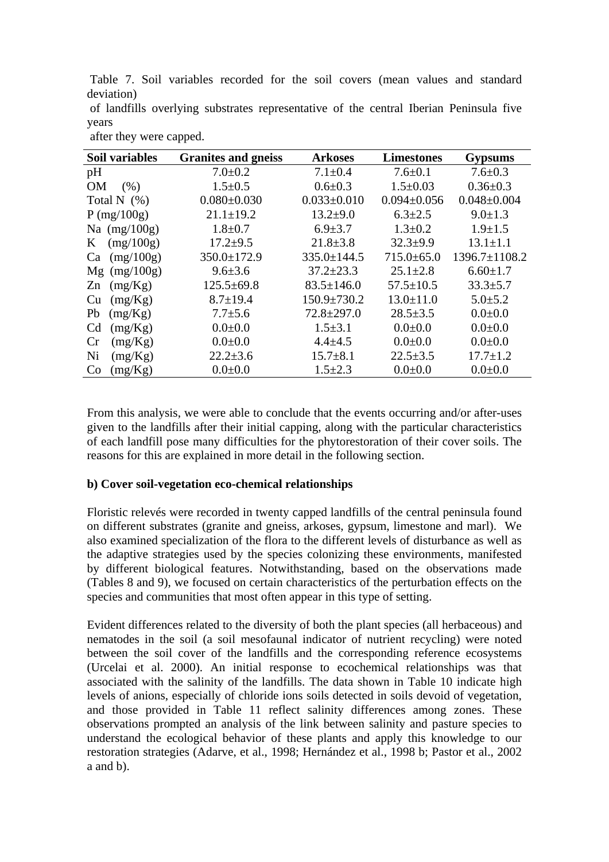Table 7. Soil variables recorded for the soil covers (mean values and standard deviation)

|       |  | of landfills overlying substrates representative of the central Iberian Peninsula five |  |  |  |
|-------|--|----------------------------------------------------------------------------------------|--|--|--|
| years |  |                                                                                        |  |  |  |

| <b>Soil variables</b>     | <b>Granites and gneiss</b> | <b>Arkoses</b>    | <b>Limestones</b> | <b>Gypsums</b>      |
|---------------------------|----------------------------|-------------------|-------------------|---------------------|
| pH                        | $7.0 \pm 0.2$              | $7.1 \pm 0.4$     | $7.6 \pm 0.1$     | $7.6 \pm 0.3$       |
| <b>OM</b><br>(% )         | $1.5 \pm 0.5$              | $0.6 \pm 0.3$     | $1.5 \pm 0.03$    | $0.36 \pm 0.3$      |
| Total N $(\%)$            | $0.080 \pm 0.030$          | $0.033 \pm 0.010$ | $0.094 \pm 0.056$ | $0.048 \pm 0.004$   |
| P (mg/100g)               | $21.1 \pm 19.2$            | $13.2 \pm 9.0$    | $6.3 \pm 2.5$     | $9.0 \pm 1.3$       |
| Na $(mg/100g)$            | $1.8 \pm 0.7$              | $6.9 \pm 3.7$     | $1.3 \pm 0.2$     | $1.9 \pm 1.5$       |
| (mg/100g)<br>K            | $17.2 + 9.5$               | $21.8 \pm 3.8$    | $32.3 + 9.9$      | $13.1 \pm 1.1$      |
| (mg/100g)<br>Ca           | 350.0±172.9                | $335.0 \pm 144.5$ | $715.0 \pm 65.0$  | $1396.7 \pm 1108.2$ |
| $Mg$ (mg/100g)            | $9.6 \pm 3.6$              | $37.2 \pm 23.3$   | $25.1 \pm 2.8$    | $6.60 \pm 1.7$      |
| (mg/Kg)<br>Zn             | $125.5 \pm 69.8$           | $83.5 \pm 146.0$  | $57.5 \pm 10.5$   | $33.3 \pm 5.7$      |
| (mg/Kg)<br>Cu             | $8.7 \pm 19.4$             | 150.9±730.2       | $13.0 \pm 11.0$   | $5.0 \pm 5.2$       |
| (mg/Kg)<br>Pb             | $7.7 \pm 5.6$              | $72.8 \pm 297.0$  | $28.5 \pm 3.5$    | $0.0 + 0.0$         |
| (mg/Kg)<br>C <sub>d</sub> | $0.0 + 0.0$                | $1.5 \pm 3.1$     | $0.0 + 0.0$       | $0.0 + 0.0$         |
| (mg/Kg)<br>Cr             | $0.0 + 0.0$                | $4.4 \pm 4.5$     | $0.0 + 0.0$       | $0.0 + 0.0$         |
| Ni<br>(mg/Kg)             | $22.2 \pm 3.6$             | $15.7 \pm 8.1$    | $22.5 \pm 3.5$    | $17.7 \pm 1.2$      |
| (mg/Kg)<br>Co             | $0.0 + 0.0$                | $1.5 \pm 2.3$     | $0.0 + 0.0$       | $0.0 + 0.0$         |
|                           |                            |                   |                   |                     |

after they were capped.

From this analysis, we were able to conclude that the events occurring and/or after-uses given to the landfills after their initial capping, along with the particular characteristics of each landfill pose many difficulties for the phytorestoration of their cover soils. The reasons for this are explained in more detail in the following section.

## **b) Cover soil-vegetation eco-chemical relationships**

Floristic relevés were recorded in twenty capped landfills of the central peninsula found on different substrates (granite and gneiss, arkoses, gypsum, limestone and marl). We also examined specialization of the flora to the different levels of disturbance as well as the adaptive strategies used by the species colonizing these environments, manifested by different biological features. Notwithstanding, based on the observations made (Tables 8 and 9), we focused on certain characteristics of the perturbation effects on the species and communities that most often appear in this type of setting.

Evident differences related to the diversity of both the plant species (all herbaceous) and nematodes in the soil (a soil mesofaunal indicator of nutrient recycling) were noted between the soil cover of the landfills and the corresponding reference ecosystems (Urcelai et al. 2000). An initial response to ecochemical relationships was that associated with the salinity of the landfills. The data shown in Table 10 indicate high levels of anions, especially of chloride ions soils detected in soils devoid of vegetation, and those provided in Table 11 reflect salinity differences among zones. These observations prompted an analysis of the link between salinity and pasture species to understand the ecological behavior of these plants and apply this knowledge to our restoration strategies (Adarve, et al., 1998; Hernández et al., 1998 b; Pastor et al., 2002 a and b).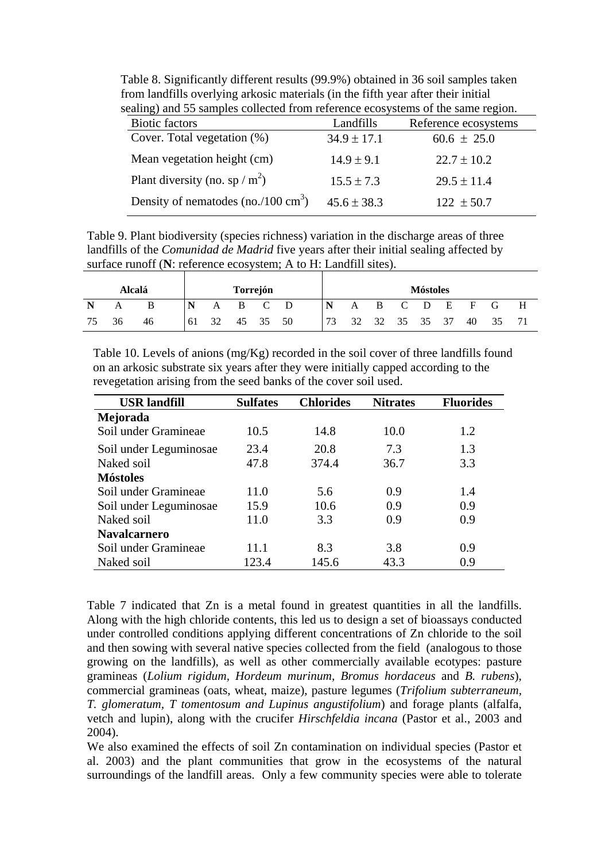Table 8. Significantly different results (99.9%) obtained in 36 soil samples taken from landfills overlying arkosic materials (in the fifth year after their initial sealing) and 55 samples collected from reference ecosystems of the same region.

| <b>Biotic factors</b>                         | Landfills       | Reference ecosystems |
|-----------------------------------------------|-----------------|----------------------|
| Cover. Total vegetation $(\%)$                | $34.9 \pm 17.1$ | $60.6 \pm 25.0$      |
| Mean vegetation height (cm)                   | $14.9 \pm 9.1$  | $22.7 \pm 10.2$      |
| Plant diversity (no. sp / m <sup>2</sup> )    | $15.5 \pm 7.3$  | $29.5 \pm 11.4$      |
| Density of nematodes (no./100 $\text{cm}^3$ ) | $45.6 \pm 38.3$ | $122 \pm 50.7$       |

Table 9. Plant biodiversity (species richness) variation in the discharge areas of three landfills of the *Comunidad de Madrid* five years after their initial sealing affected by surface runoff (**N**: reference ecosystem; A to H: Landfill sites).

|    |    | Alcalá |    |     |     | Torrejón |   |     |                |                |       | <b>Móstoles</b> |       |    |   |
|----|----|--------|----|-----|-----|----------|---|-----|----------------|----------------|-------|-----------------|-------|----|---|
|    |    |        |    | A   | B C |          | D | N   | A              | $\overline{B}$ | $C$ D |                 | $E$ F | G  | Н |
| 75 | 36 | 46     | 61 | -32 |     | 45 35 50 |   | 173 | 32 32 35 35 37 |                |       |                 | 40    | 35 |   |

Table 10. Levels of anions  $(mg/Kg)$  recorded in the soil cover of three landfills found on an arkosic substrate six years after they were initially capped according to the revegetation arising from the seed banks of the cover soil used.

| <b>USR</b> landfill    | <b>Sulfates</b> | <b>Chlorides</b> | <b>Nitrates</b> | <b>Fluorides</b> |
|------------------------|-----------------|------------------|-----------------|------------------|
| Mejorada               |                 |                  |                 |                  |
| Soil under Gramineae   | 10.5            | 14.8             | 10.0            | 1.2              |
| Soil under Leguminosae | 23.4            | 20.8             | 7.3             | 1.3              |
| Naked soil             | 47.8            | 374.4            | 36.7            | 3.3              |
| <b>Móstoles</b>        |                 |                  |                 |                  |
| Soil under Gramineae   | 11.0            | 5.6              | 0.9             | 1.4              |
| Soil under Leguminosae | 15.9            | 10.6             | 0.9             | 0.9              |
| Naked soil             | 11.0            | 3.3              | 0.9             | 0.9              |
| <b>Navalcarnero</b>    |                 |                  |                 |                  |
| Soil under Gramineae   | 11.1            | 8.3              | 3.8             | 0.9              |
| Naked soil             | 123.4           | 145.6            | 43.3            | 0.9              |

Table 7 indicated that Zn is a metal found in greatest quantities in all the landfills. Along with the high chloride contents, this led us to design a set of bioassays conducted under controlled conditions applying different concentrations of Zn chloride to the soil and then sowing with several native species collected from the field (analogous to those growing on the landfills), as well as other commercially available ecotypes: pasture gramineas (*Lolium rigidum, Hordeum murinum, Bromus hordaceus* and *B. rubens*), commercial gramineas (oats, wheat, maize), pasture legumes (*Trifolium subterraneum, T. glomeratum, T tomentosum and Lupinus angustifolium*) and forage plants (alfalfa, vetch and lupin), along with the crucifer *Hirschfeldia incana* (Pastor et al., 2003 and 2004).

We also examined the effects of soil Zn contamination on individual species (Pastor et al. 2003) and the plant communities that grow in the ecosystems of the natural surroundings of the landfill areas. Only a few community species were able to tolerate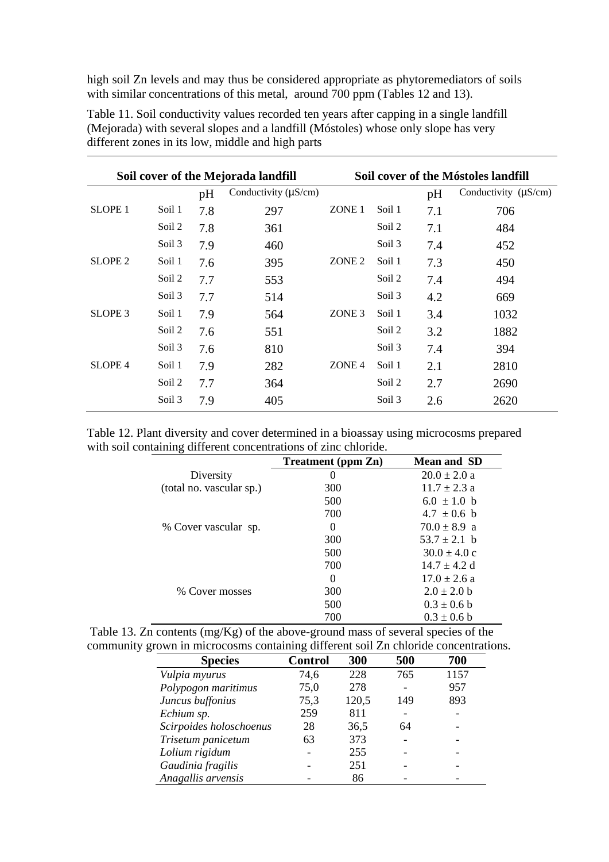high soil Zn levels and may thus be considered appropriate as phytoremediators of soils with similar concentrations of this metal, around 700 ppm (Tables 12 and 13).

|                    |        |     | Soil cover of the Móstoles landfill<br>Soil cover of the Mejorada landfill |                   |        |     |                           |
|--------------------|--------|-----|----------------------------------------------------------------------------|-------------------|--------|-----|---------------------------|
|                    |        | pH  | Conductivity $(\mu S/cm)$                                                  |                   |        | pH  | Conductivity $(\mu S/cm)$ |
| <b>SLOPE 1</b>     | Soil 1 | 7.8 | 297                                                                        | ZONE <sub>1</sub> | Soil 1 | 7.1 | 706                       |
|                    | Soil 2 | 7.8 | 361                                                                        |                   | Soil 2 | 7.1 | 484                       |
|                    | Soil 3 | 7.9 | 460                                                                        |                   | Soil 3 | 7.4 | 452                       |
| SLOPE <sub>2</sub> | Soil 1 | 7.6 | 395                                                                        | ZONE <sub>2</sub> | Soil 1 | 7.3 | 450                       |
|                    | Soil 2 | 7.7 | 553                                                                        |                   | Soil 2 | 7.4 | 494                       |
|                    | Soil 3 | 7.7 | 514                                                                        |                   | Soil 3 | 4.2 | 669                       |
| SLOPE <sub>3</sub> | Soil 1 | 7.9 | 564                                                                        | ZONE <sub>3</sub> | Soil 1 | 3.4 | 1032                      |
|                    | Soil 2 | 7.6 | 551                                                                        |                   | Soil 2 | 3.2 | 1882                      |
|                    | Soil 3 | 7.6 | 810                                                                        |                   | Soil 3 | 7.4 | 394                       |
| <b>SLOPE 4</b>     | Soil 1 | 7.9 | 282                                                                        | ZONE <sub>4</sub> | Soil 1 | 2.1 | 2810                      |
|                    | Soil 2 | 7.7 | 364                                                                        |                   | Soil 2 | 2.7 | 2690                      |
|                    | Soil 3 | 7.9 | 405                                                                        |                   | Soil 3 | 2.6 | 2620                      |

Table 11. Soil conductivity values recorded ten years after capping in a single landfill (Mejorada) with several slopes and a landfill (Móstoles) whose only slope has very different zones in its low, middle and high parts

Table 12. Plant diversity and cover determined in a bioassay using microcosms prepared with soil containing different concentrations of zinc chloride.

|                          | <b>Treatment</b> (ppm Zn) | <b>Mean and SD</b>       |
|--------------------------|---------------------------|--------------------------|
| Diversity                | $\theta$                  | $20.0 \pm 2.0 a$         |
| (total no. vascular sp.) | 300                       | $11.7 + 2.3a$            |
|                          | 500                       | $6.0 \pm 1.0$ b          |
|                          | 700                       | $4.7 \pm 0.6$ b          |
| % Cover vascular sp.     | $\Omega$                  | $70.0 \pm 8.9$ a         |
|                          | 300                       | $53.7 \pm 2.1$ b         |
|                          | 500                       | $30.0 \pm 4.0 \text{ c}$ |
|                          | 700                       | $14.7 + 4.2$ d           |
|                          | $\Omega$                  | $17.0 + 2.6 a$           |
| % Cover mosses           | 300                       | $2.0 \pm 2.0$ b          |
|                          | 500                       | $0.3 \pm 0.6$ b          |
|                          | 700                       | $0.3 \pm 0.6$ b          |

| Table 13. Zn contents $(mg/Kg)$ of the above-ground mass of several species of the  |  |
|-------------------------------------------------------------------------------------|--|
| community grown in microcosms containing different soil Zn chloride concentrations. |  |

| <b>Species</b>          | <b>Control</b> | 300   | 500 | 700  |
|-------------------------|----------------|-------|-----|------|
| Vulpia myurus           | 74,6           | 228   | 765 | 1157 |
| Polypogon maritimus     | 75,0           | 278   |     | 957  |
| Juncus buffonius        | 75,3           | 120,5 | 149 | 893  |
| Echium sp.              | 259            | 811   |     |      |
| Scirpoides holoschoenus | 28             | 36,5  | 64  |      |
| Trisetum panicetum      | 63             | 373   |     |      |
| Lolium rigidum          |                | 255   |     |      |
| Gaudinia fragilis       |                | 251   |     |      |
| Anagallis arvensis      |                | 86    |     |      |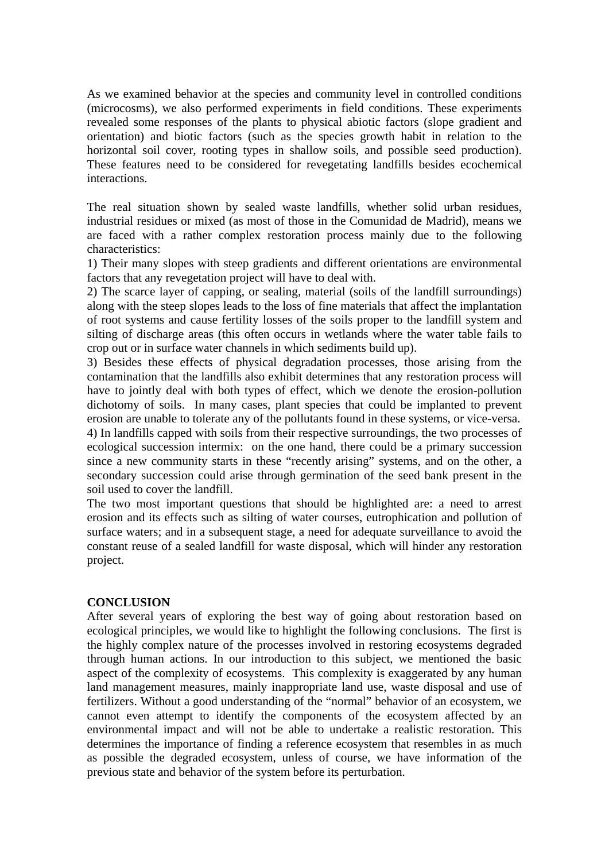As we examined behavior at the species and community level in controlled conditions (microcosms), we also performed experiments in field conditions. These experiments revealed some responses of the plants to physical abiotic factors (slope gradient and orientation) and biotic factors (such as the species growth habit in relation to the horizontal soil cover, rooting types in shallow soils, and possible seed production). These features need to be considered for revegetating landfills besides ecochemical interactions.

The real situation shown by sealed waste landfills, whether solid urban residues, industrial residues or mixed (as most of those in the Comunidad de Madrid), means we are faced with a rather complex restoration process mainly due to the following characteristics:

1) Their many slopes with steep gradients and different orientations are environmental factors that any revegetation project will have to deal with.

2) The scarce layer of capping, or sealing, material (soils of the landfill surroundings) along with the steep slopes leads to the loss of fine materials that affect the implantation of root systems and cause fertility losses of the soils proper to the landfill system and silting of discharge areas (this often occurs in wetlands where the water table fails to crop out or in surface water channels in which sediments build up).

3) Besides these effects of physical degradation processes, those arising from the contamination that the landfills also exhibit determines that any restoration process will have to jointly deal with both types of effect, which we denote the erosion-pollution dichotomy of soils. In many cases, plant species that could be implanted to prevent erosion are unable to tolerate any of the pollutants found in these systems, or vice-versa.

4) In landfills capped with soils from their respective surroundings, the two processes of ecological succession intermix: on the one hand, there could be a primary succession since a new community starts in these "recently arising" systems, and on the other, a secondary succession could arise through germination of the seed bank present in the soil used to cover the landfill.

The two most important questions that should be highlighted are: a need to arrest erosion and its effects such as silting of water courses, eutrophication and pollution of surface waters; and in a subsequent stage, a need for adequate surveillance to avoid the constant reuse of a sealed landfill for waste disposal, which will hinder any restoration project.

### **CONCLUSION**

After several years of exploring the best way of going about restoration based on ecological principles, we would like to highlight the following conclusions. The first is the highly complex nature of the processes involved in restoring ecosystems degraded through human actions. In our introduction to this subject, we mentioned the basic aspect of the complexity of ecosystems. This complexity is exaggerated by any human land management measures, mainly inappropriate land use, waste disposal and use of fertilizers. Without a good understanding of the "normal" behavior of an ecosystem, we cannot even attempt to identify the components of the ecosystem affected by an environmental impact and will not be able to undertake a realistic restoration. This determines the importance of finding a reference ecosystem that resembles in as much as possible the degraded ecosystem, unless of course, we have information of the previous state and behavior of the system before its perturbation.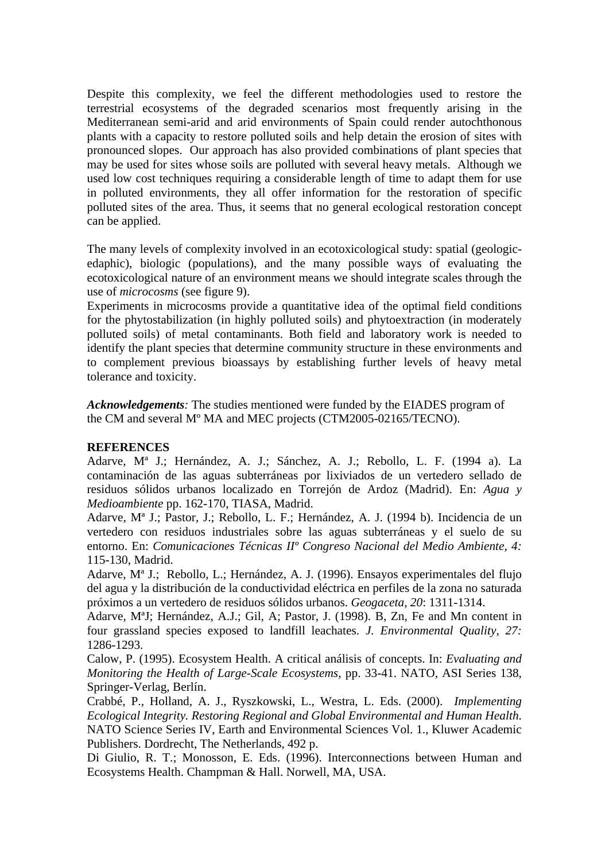Despite this complexity, we feel the different methodologies used to restore the terrestrial ecosystems of the degraded scenarios most frequently arising in the Mediterranean semi-arid and arid environments of Spain could render autochthonous plants with a capacity to restore polluted soils and help detain the erosion of sites with pronounced slopes. Our approach has also provided combinations of plant species that may be used for sites whose soils are polluted with several heavy metals. Although we used low cost techniques requiring a considerable length of time to adapt them for use in polluted environments, they all offer information for the restoration of specific polluted sites of the area. Thus, it seems that no general ecological restoration concept can be applied.

The many levels of complexity involved in an ecotoxicological study: spatial (geologicedaphic), biologic (populations), and the many possible ways of evaluating the ecotoxicological nature of an environment means we should integrate scales through the use of *microcosms* (see figure 9).

Experiments in microcosms provide a quantitative idea of the optimal field conditions for the phytostabilization (in highly polluted soils) and phytoextraction (in moderately polluted soils) of metal contaminants. Both field and laboratory work is needed to identify the plant species that determine community structure in these environments and to complement previous bioassays by establishing further levels of heavy metal tolerance and toxicity.

*Acknowledgements:* The studies mentioned were funded by the EIADES program of the CM and several Mº MA and MEC projects (CTM2005-02165/TECNO).

### **REFERENCES**

Adarve, Mª J.; Hernández, A. J.; Sánchez, A. J.; Rebollo, L. F. (1994 a). La contaminación de las aguas subterráneas por lixiviados de un vertedero sellado de residuos sólidos urbanos localizado en Torrejón de Ardoz (Madrid). En: *Agua y Medioambiente* pp. 162-170, TIASA, Madrid.

Adarve, Mª J.; Pastor, J.; Rebollo, L. F.; Hernández, A. J. (1994 b). Incidencia de un vertedero con residuos industriales sobre las aguas subterráneas y el suelo de su entorno. En: *Comunicaciones Técnicas IIº Congreso Nacional del Medio Ambiente, 4:* 115-130, Madrid.

Adarve, Mª J.; Rebollo, L.; Hernández, A. J. (1996). Ensayos experimentales del flujo del agua y la distribución de la conductividad eléctrica en perfiles de la zona no saturada próximos a un vertedero de residuos sólidos urbanos. *Geogaceta, 20*: 1311-1314.

Adarve, MªJ; Hernández, A.J.; Gil, A; Pastor, J. (1998). B, Zn, Fe and Mn content in four grassland species exposed to landfill leachates. *J. Environmental Quality, 27:* 1286-1293.

Calow, P. (1995). Ecosystem Health. A critical análisis of concepts. In: *Evaluating and Monitoring the Health of Large-Scale Ecosystems*, pp. 33-41. NATO, ASI Series 138, Springer-Verlag, Berlín.

Crabbé, P., Holland, A. J., Ryszkowski, L., Westra, L. Eds. (2000). *Implementing Ecological Integrity. Restoring Regional and Global Environmental and Human Health*. NATO Science Series IV, Earth and Environmental Sciences Vol. 1., Kluwer Academic Publishers. Dordrecht, The Netherlands, 492 p.

Di Giulio, R. T.; Monosson, E. Eds. (1996). Interconnections between Human and Ecosystems Health. Champman & Hall. Norwell, MA, USA.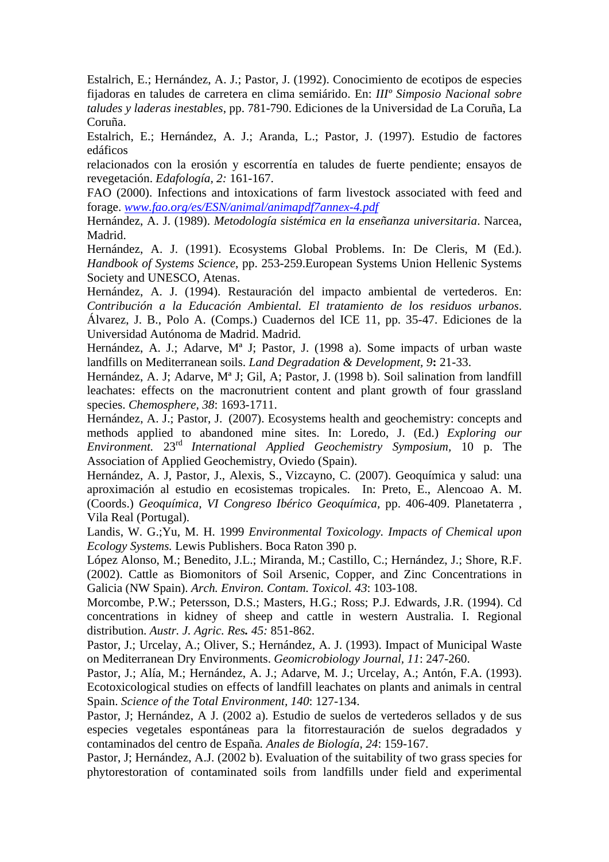Estalrich, E.; Hernández, A. J.; Pastor, J. (1992). Conocimiento de ecotipos de especies fijadoras en taludes de carretera en clima semiárido. En: *IIIº Simposio Nacional sobre taludes y laderas inestables*, pp. 781-790. Ediciones de la Universidad de La Coruña, La Coruña.

Estalrich, E.; Hernández, A. J.; Aranda, L.; Pastor, J. (1997). Estudio de factores edáficos

relacionados con la erosión y escorrentía en taludes de fuerte pendiente; ensayos de revegetación. *Edafología, 2:* 161-167.

FAO (2000). Infections and intoxications of farm livestock associated with feed and forage. *www.fao.org/es/ESN/animal/animapdf7annex-4.pdf*

Hernández, A. J. (1989). *Metodología sistémica en la enseñanza universitaria*. Narcea, Madrid.

Hernández, A. J. (1991). Ecosystems Global Problems. In: De Cleris, M (Ed.). *Handbook of Systems Science*, pp. 253-259.European Systems Union Hellenic Systems Society and UNESCO, Atenas.

Hernández, A. J. (1994). Restauración del impacto ambiental de vertederos. En: *Contribución a la Educación Ambiental. El tratamiento de los residuos urbanos*. Álvarez, J. B., Polo A. (Comps.) Cuadernos del ICE 11, pp. 35-47. Ediciones de la Universidad Autónoma de Madrid. Madrid.

Hernández, A. J.; Adarve, Mª J; Pastor, J. (1998 a). Some impacts of urban waste landfills on Mediterranean soils. *Land Degradation & Development, 9***:** 21-33.

Hernández, A. J; Adarve, Mª J; Gil, A; Pastor, J. (1998 b). Soil salination from landfill leachates: effects on the macronutrient content and plant growth of four grassland species. *Chemosphere, 38*: 1693-1711.

Hernández, A. J.; Pastor, J. (2007). Ecosystems health and geochemistry: concepts and methods applied to abandoned mine sites. In: Loredo, J. (Ed.) *Exploring our Environment.* 23rd *International Applied Geochemistry Symposium,* 10 p. The Association of Applied Geochemistry, Oviedo (Spain).

Hernández, A. J, Pastor, J., Alexis, S., Vizcayno, C. (2007). Geoquímica y salud: una aproximación al estudio en ecosistemas tropicales. In: Preto, E., Alencoao A. M. (Coords.) *Geoquímica, VI Congreso Ibérico Geoquímica,* pp. 406-409. Planetaterra , Vila Real (Portugal).

Landis, W. G.;Yu, M. H. 1999 *Environmental Toxicology. Impacts of Chemical upon Ecology Systems.* Lewis Publishers. Boca Raton 390 p.

López Alonso, M.; Benedito, J.L.; Miranda, M.; Castillo, C.; Hernández, J.; Shore, R.F. (2002). Cattle as Biomonitors of Soil Arsenic, Copper, and Zinc Concentrations in Galicia (NW Spain). *Arch. Environ. Contam. Toxicol. 43*: 103-108.

Morcombe, P.W.; Petersson, D.S.; Masters, H.G.; Ross; P.J. Edwards, J.R. (1994). Cd concentrations in kidney of sheep and cattle in western Australia. I. Regional distribution. *Austr. J. Agric. Res. 45:* 851-862.

Pastor, J.; Urcelay, A.; Oliver, S.; Hernández, A. J. (1993). Impact of Municipal Waste on Mediterranean Dry Environments. *Geomicrobiology Journal, 11*: 247-260.

Pastor, J.; Alía, M.; Hernández, A. J.; Adarve, M. J.; Urcelay, A.; Antón, F.A. (1993). Ecotoxicological studies on effects of landfill leachates on plants and animals in central Spain. *Science of the Total Environment, 140*: 127-134.

Pastor, J; Hernández, A J. (2002 a). Estudio de suelos de vertederos sellados y de sus especies vegetales espontáneas para la fitorrestauración de suelos degradados y contaminados del centro de España*. Anales de Biología*, *24*: 159-167.

Pastor, J; Hernández, A.J. (2002 b). Evaluation of the suitability of two grass species for phytorestoration of contaminated soils from landfills under field and experimental